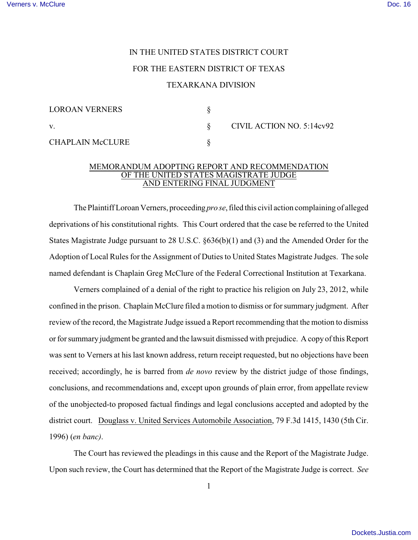## IN THE UNITED STATES DISTRICT COURT FOR THE EASTERN DISTRICT OF TEXAS TEXARKANA DIVISION

| <b>LOROAN VERNERS</b>   |  |
|-------------------------|--|
| V.                      |  |
| <b>CHAPLAIN McCLURE</b> |  |

v. § CIVIL ACTION NO. 5:14cv92

## MEMORANDUM ADOPTING REPORT AND RECOMMENDATION OF THE UNITED STATES MAGISTRATE JUDGE **AND ENTERING FINAL JUDGMENT**

The Plaintiff Loroan Verners, proceeding *pro se*, filed this civil action complaining of alleged deprivations of his constitutional rights. This Court ordered that the case be referred to the United States Magistrate Judge pursuant to 28 U.S.C. §636(b)(1) and (3) and the Amended Order for the Adoption of Local Rules for the Assignment of Duties to United States Magistrate Judges. The sole named defendant is Chaplain Greg McClure of the Federal Correctional Institution at Texarkana.

Verners complained of a denial of the right to practice his religion on July 23, 2012, while confined in the prison. Chaplain McClure filed a motion to dismiss or for summary judgment. After review of the record, the Magistrate Judge issued a Report recommending that the motion to dismiss or for summary judgment be granted and the lawsuit dismissed with prejudice. A copy of this Report was sent to Verners at his last known address, return receipt requested, but no objections have been received; accordingly, he is barred from *de novo* review by the district judge of those findings, conclusions, and recommendations and, except upon grounds of plain error, from appellate review of the unobjected-to proposed factual findings and legal conclusions accepted and adopted by the district court. Douglass v. United Services Automobile Association, 79 F.3d 1415, 1430 (5th Cir. 1996) (*en banc)*.

The Court has reviewed the pleadings in this cause and the Report of the Magistrate Judge. Upon such review, the Court has determined that the Report of the Magistrate Judge is correct. *See*